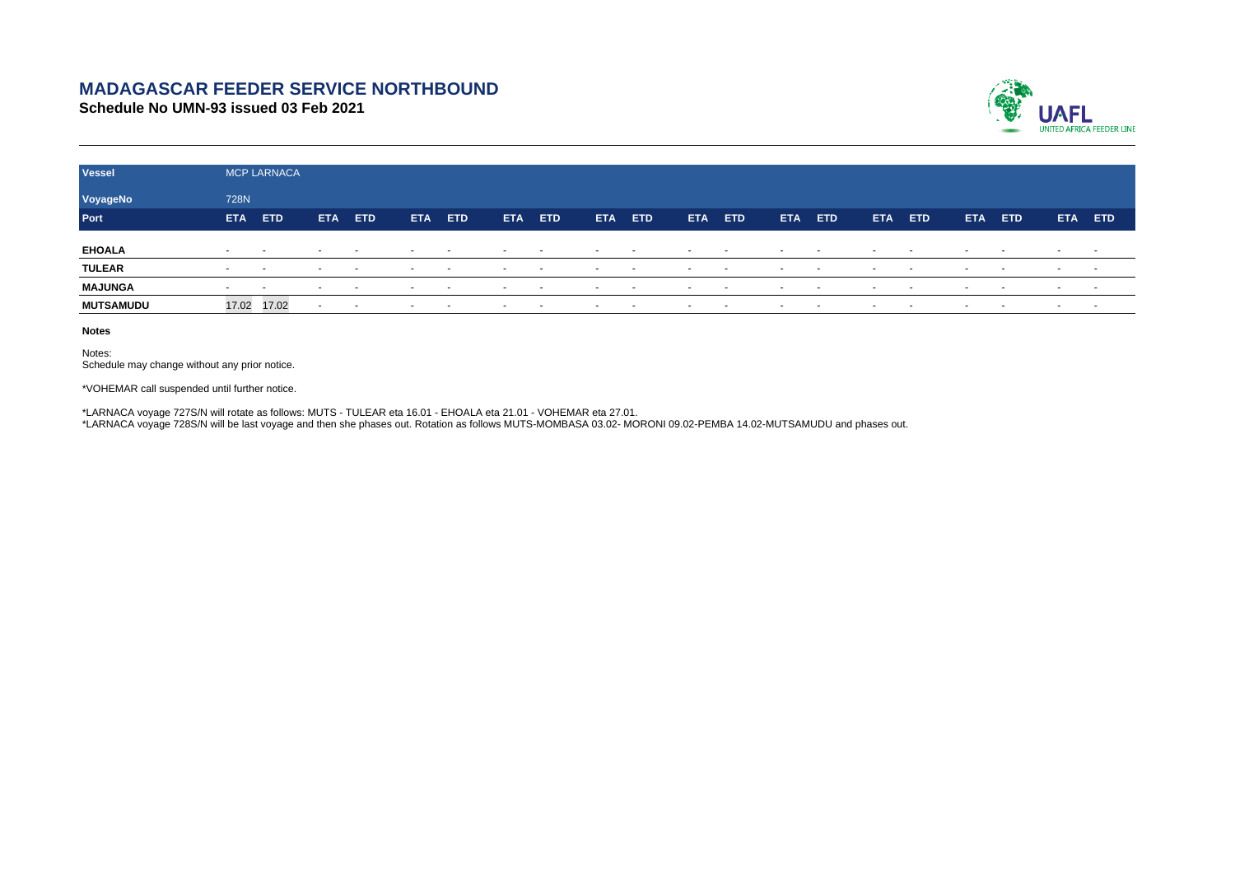## **MADAGASCAR FEEDER SERVICE NORTHBOUND**

**Schedule No UMN-93 issued 03 Feb 2021**



| <b>Vessel</b>    | <b>MCP LARNACA</b>       |                          |                          |        |            |        |                          |               |                          |        |                          |        |                          |                          |                          |        |                          |                          |                          |        |
|------------------|--------------------------|--------------------------|--------------------------|--------|------------|--------|--------------------------|---------------|--------------------------|--------|--------------------------|--------|--------------------------|--------------------------|--------------------------|--------|--------------------------|--------------------------|--------------------------|--------|
| VoyageNo         | 728N                     |                          |                          |        |            |        |                          |               |                          |        |                          |        |                          |                          |                          |        |                          |                          |                          |        |
| Port             | <b>ETA</b>               | ETD                      | <b>ETA</b>               | ETD    | <b>ETA</b> | ETD    | <b>ETA</b>               | <b>ETD</b>    | <b>ETA</b>               | ETD    | <b>ETA</b>               | ETD    | <b>ETA</b>               | ETD                      | <b>ETA</b>               | ETD    | <b>ETA</b>               | ETD                      | <b>ETA</b>               | ETD    |
| <b>EHOALA</b>    | $\sim$                   | $\sim$                   | $\overline{\phantom{a}}$ | $\sim$ | $\sim$     |        | $\overline{\phantom{a}}$ |               | $\sim$                   |        | $\overline{\phantom{a}}$ |        | $\overline{\phantom{a}}$ | $\overline{\phantom{a}}$ | $\overline{\phantom{a}}$ |        | $\overline{\phantom{a}}$ | $\overline{\phantom{a}}$ | $\overline{\phantom{0}}$ |        |
| <b>TULEAR</b>    | $\overline{\phantom{a}}$ | $\overline{\phantom{a}}$ | $\overline{\phantom{a}}$ | $\sim$ | $\sim$     | $\sim$ | $\sim$                   | $\sim$ $\sim$ | $\sim$                   | $\sim$ | $\overline{\phantom{a}}$ | $\sim$ | $\sim$                   | $\sim$                   | $\sim$                   | $\sim$ |                          | $\sim$                   | $\sim$                   |        |
| <b>MAJUNGA</b>   | $\sim$                   | $\overline{\phantom{a}}$ |                          | $\sim$ | $\sim$     | $\sim$ | $\overline{\phantom{a}}$ | $\sim$        | $\overline{\phantom{a}}$ | $\sim$ | $\overline{\phantom{a}}$ | $\sim$ |                          | $\sim$                   | $\sim$                   | $\sim$ |                          | $\sim$                   | $\sim$                   | $\sim$ |
| <b>MUTSAMUDU</b> | 17.02 17.02              |                          | $\sim$                   | $\sim$ | $\sim$     | $\sim$ | $\sim$                   | $\sim$        | $\sim$                   | $\sim$ | $\overline{\phantom{a}}$ | $\sim$ | $\overline{\phantom{a}}$ | $\sim$                   | $\sim$                   | $\sim$ | $\overline{\phantom{a}}$ | $\sim$                   | $\sim$                   | $\sim$ |

**Notes**

Notes: Schedule may change without any prior notice.

\*VOHEMAR call suspended until further notice.

\*LARNACA voyage 727S/N will rotate as follows: MUTS - TULEAR eta 16.01 - EHOALA eta 21.01 - VOHEMAR eta 27.01. \*LARNACA voyage 728S/N will be last voyage and then she phases out. Rotation as follows MUTS-MOMBASA 03.02- MORONI 09.02-PEMBA 14.02-MUTSAMUDU and phases out.